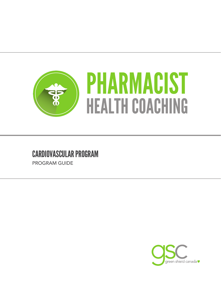

## CARDIOVASCULAR PROGRAM

PROGRAM GUIDE

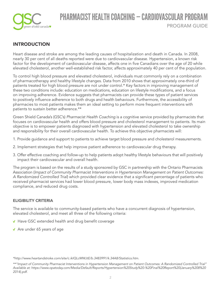

## PHARMACIST HEALTH COACHING — CARDIOVASCULAR PROGRAM PROGRAM GUIDE

### INTRODUCTION

Heart disease and stroke are among the leading causes of hospitalization and death in Canada. In 2008, nearly 30 per cent of all deaths reported were due to cardiovascular disease. Hypertension, a known risk factor for the development of cardiovascular disease, affects one in five Canadians over the age of 20 while elevated cholesterol, another well-established risk factor, affects approximately 40 per cent of the population.

To control high blood pressure and elevated cholesterol, individuals must commonly rely on a combination of pharmacotherapy and healthy lifestyle changes. Data from 2010 shows that approximately one-third of patients treated for high blood pressure are not under control.\* Key factors in improving management of these two conditions include: education on medications, education on lifestyle modifications, and a focus on improving adherence. Evidence suggests that pharmacists can provide these types of patient services to positively infuence adherence to both drugs and health behaviours. Furthermore, the accessibility of pharmacies to most patients makes them an ideal setting to perform more frequent interventions with patients to sustain better adherence.\*\*

Green Shield Canada's (GSC's) *Pharmacist Health Coaching* is a cognitive service provided by pharmacists that focuses on cardiovascular health and offers blood pressure and cholesterol management to patients. Its main objective is to empower patients diagnosed with hypertension and elevated cholesterol to take ownership and responsibility for their overall cardiovascular health. To achieve this objective pharmacists will:

- 1. Provide guidance and support to patients to achieve target blood pressure and cholesterol measurements.
- 2. Implement strategies that help improve patient adherence to cardiovascular drug therapy.
- 3. Offer effective coaching and follow-up to help patients adopt healthy lifestyle behaviours that will positively impact their cardiovascular and overall health.

The program is based on the results of a study sponsored by GSC in partnership with the Ontario Pharmacists Association (*Impact of Community Pharmacist Interventions in Hypertension Management on Patient Outcomes:*  A Randomized Controlled Trial) which provided clear evidence that a significant percentage of patients who received pharmacist services had lower blood pressure, lower body mass indexes, improved medication compliance, and reduced drug costs.

#### ELIGIBILITY CRITERIA

The service is available to community-based patients who have a concurrent diagnosis of hypertension, elevated cholesterol, and meet all three of the following criteria:

- $\sqrt{\phantom{a}}$  Have GSC extended health and drug benefit coverage
- ◆ Are under 65 years of age

*<sup>\*</sup><http://www.heartandstroke.com/site/c.ikIQLcMWJtE/b.3483991/k.34A8/Statistics.htm>.*

*<sup>\*\*&</sup>quot;Impact of Community Pharmacist Interventions in Hypertension Management on Patient Outcomes: A Randomized Controlled Trial" Available at: [https://www.opatoday.com/Media/Default/Reports/Hypertension%20Study%20-%20Final%20Report%20\(January%208%20](https://www.opatoday.com/Media/Default/Reports/Hypertension%20Study%20-%20Final%20Report%20(January%208%202014).pdf)  2014).pdf.*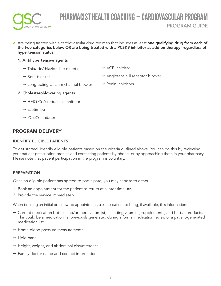

Are being treated with a cardiovascular drug regimen that includes at least one qualifying drug from each of the two categories below OR are being treated with a PCSK9 inhibitor as add-on therapy (regardless of hypertension status).

#### 1. Antihypertensive agents

- $\rightarrow$  Thiazide/thiazide-like diuretic
- $\rightarrow$  Beta-blocker
- $\rightarrow$  ACE inhibitor
- $\rightarrow$  Angiotensin II receptor blocker
- $\rightarrow$  Long-acting calcium channel blocker  $\rightarrow$  Renin inhibitors

#### 2. Cholesterol-lowering agents

- $\rightarrow$  HMG-CoA reductase inhibitor
- $\rightarrow$  Ezetimibe
- $\rightarrow$  PCSK9 inhibitor

### PROGRAM DELIVERY

#### IDENTIFY ELIGIBLE PATIENTS

To get started, identify eligible patients based on the criteria outlined above. You can do this by reviewing your patient prescription profiles and contacting patients by phone, or by approaching them in your pharmacy. Please note that patient participation in the program is voluntary.

#### **PREPARATION**

Once an eligible patient has agreed to participate, you may choose to either:

- 1. Book an appointment for the patient to return at a later time; or,
- 2. Provide the service immediately.

When booking an initial or follow-up appointment, ask the patient to bring, if available, this information:

- $\rightarrow$  Current medication bottles and/or medication list, including vitamins, supplements, and herbal products. This could be a medication list previously generated during a formal medication review or a patient-generated medication list.
- $\rightarrow$  Home blood pressure measurements
- $\rightarrow$  Lipid panel
- $\rightarrow$  Height, weight, and abdominal circumference
- $\rightarrow$  Family doctor name and contact information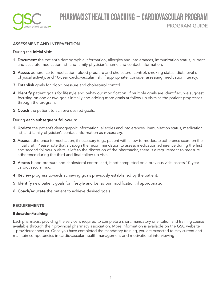

#### ASSESSMENT AND INTERVENTION

During the **initial visit:** 

- **1. Document** the patient's demographic information, allergies and intolerances, immunization status, current and accurate medication list, and family physician's name and contact information.
- 2. Assess adherence to medication, blood pressure and cholesterol control, smoking status, diet, level of physical activity, and 10-year cardiovascular risk. If appropriate, consider assessing medication literacy.
- 3. Establish goals for blood pressure and cholesterol control.
- 4. Identify patient goals for lifestyle and behaviour modification. If multiple goals are identified, we suggest focusing on one or two goals initially and adding more goals at follow-up visits as the patient progresses through the program.
- **5. Coach** the patient to achieve desired goals.

#### During each subsequent follow-up:

- **1. Update** the patient's demographic information, allergies and intolerances, immunization status, medication list, and family physician's contact information as necessary.
- 2. Assess adherence to medication, if necessary (e.g., patient with a low-to-moderate adherence score on the initial visit). Please note that although the recommendation to assess medication adherence during the frst and second follow-up visits is left to the discretion of the pharmacist, there is a requirement to measure adherence during the third and final follow-up visit.
- 3. Assess blood pressure and cholesterol control and, if not completed on a previous visit, assess 10-year cardiovascular risk.
- **4. Review** progress towards achieving goals previously established by the patient.
- **5. Identify** new patient goals for lifestyle and behaviour modification, if appropriate.
- 6. Coach/educate the patient to achieve desired goals.

#### REQUIREMENTS

#### Education/training

Each pharmacist providing the service is required to complete a short, mandatory orientation and training course available through their provincial pharmacy association. More information is available on the GSC website – [providerconnect.ca.](https://providerconnect.ca) Once you have completed the mandatory training, you are expected to stay current and maintain competencies in cardiovascular health management and motivational interviewing.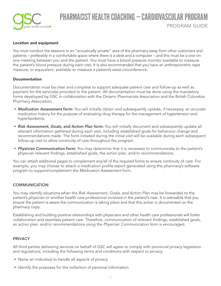

# PHARMACIST HEALTH COACHING - CARDIOVASCULAR PRO PROGRAM GUIDE

#### Location and equipment

You must conduct the sessions in an "acoustically private" area of the pharmacy away from other customers and patients – preferably in a comfortable space where there is a desk and a computer – and this must be a one-onone meeting between you and the patient. You must have a blood pressure monitor available to measure the patient's blood pressure during each visit. It is also recommended that you have an anthropometric tape measure, or equivalent, available to measure a patient's waist circumference.

#### Documentation

Documentation must be clear and complete to support adequate patient care and follow-up as well as payment for the service(s) provided to the patient. All documentation must be done using the mandatory forms developed by GSC in collaboration with the Ontario Pharmacists Association and the British Columbia Pharmacy Association:

- → Medication Assessment form: You will initially obtain and subsequently update, if necessary, an accurate medication history for the purpose of evaluating drug therapy for the management of hypertension and hyperlipidemia.
- → Risk Assessment, Goals, and Action Plan form: You will initially document and subsequently update all relevant information gathered during each visit, including established goals for behaviour change and recommendations made. The form initiated during the initial visit will be available during each subsequent follow-up visit to allow continuity of care throughout the program.
- → Physician Communication form: You may determine that it is necessary to communicate to the patient's physician relevant fndings, established goals, the action plan, and/or recommendations.

You can attach additional pages to complement any/all of the required forms to ensure continuity of care. For example, you may choose to attach a medication profile report generated using the pharmacy's software program to support/complement the *Medication Assessment* form.

#### **COMMUNICATION**

You may identify situations when the *Risk Assessment, Goals, and Action Plan* may be forwarded to the patient's physician or another health care professional involved in the patient's care. It is advisable that you ensure the patient is aware the communication is taking place and that this action is documented on the pharmacy copy.

Establishing and building positive relationships with physicians and other health care professionals will foster collaboration and seamless patient care. Therefore, communication of relevant fndings, established goals, an action plan, and/or recommendations using the *Physician Communication* form is encouraged.

#### **PRIVACY**

All third parties delivering services on behalf of GSC will agree to comply with provincial privacy legislation and regulations, including the following terms and conditions with respect to privacy:

- $\rightarrow$  Name an individual to handle all aspects of privacy
- $\rightarrow$  Identify the purposes for the collection of personal information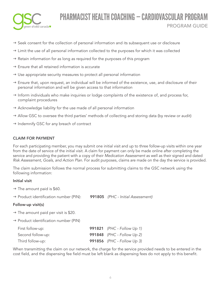

### PHARMACIST HEALTH COACHING — CARDIOVASCULAR PROGRAM PROGRAM GUIDE

- $\rightarrow$  Seek consent for the collection of personal information and its subsequent use or disclosure
- $\rightarrow$  Limit the use of all personal information collected to the purposes for which it was collected
- $\rightarrow$  Retain information for as long as required for the purposes of this program
- $\rightarrow$  Ensure that all retained information is accurate
- $\rightarrow$  Use appropriate security measures to protect all personal information
- $\rightarrow$  Ensure that, upon request, an individual will be informed of the existence, use, and disclosure of their personal information and will be given access to that information
- $\rightarrow$  Inform individuals who make inquiries or lodge complaints of the existence of, and process for, complaint procedures
- $\rightarrow$  Acknowledge liability for the use made of all personal information
- $\rightarrow$  Allow GSC to oversee the third parties' methods of collecting and storing data (by review or audit)
- $\rightarrow$  Indemnify GSC for any breach of contract

#### CLAIM FOR PAYMENT

For each participating member, you may submit one initial visit and up to three follow-up visits within one year from the date of service of the initial visit. A claim for payment can only be made online after completing the service and providing the patient with a copy of their *Medication Assessment* as well as their signed and dated *Risk Assessment, Goals, and Action Plan*. For audit purposes, claims are made on the day the service is provided.

The claim submission follows the normal process for submitting claims to the GSC network using the following information:

#### Initial visit

- $\rightarrow$  The amount paid is \$60.
- g Product identifcation number (PIN): 991805 *(PHC Initial Assessment)*

#### Follow-up visit(s)

- $\rightarrow$  The amount paid per visit is \$20.
- $\rightarrow$  Product identification number (PIN)

| First follow-up:  | 991821 (PHC - Follow Up 1) |
|-------------------|----------------------------|
| Second follow-up: | 991848 (PHC - Follow Up 2) |
| Third follow-up:  | 991856 (PHC - Follow Up 3) |

When transmitting the claim on our network, the charge for the service provided needs to be entered in the cost field, and the dispensing fee field must be left blank as dispensing fees do not apply to this benefit.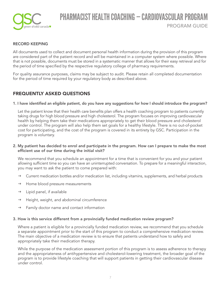

#### RECORD KEEPING

All documents used to collect and document personal health information during the provision of this program are considered part of the patient record and will be maintained in a computer system where possible. Where that is not possible, documents must be stored in a systematic manner that allows for their easy retrieval and for the period of time specifed by the respective regulatory college of pharmacy requirements.

For quality assurance purposes, claims may be subject to audit. Please retain all completed documentation for the period of time required by your regulatory body as described above.

### FREQUENTLY ASKED QUESTIONS

#### 1. I have identifed an eligible patient, do you have any suggestions for how I should introduce the program?

Let the patient know that their health care benefts plan offers a health coaching program to patients currently taking drugs for high blood pressure and high cholesterol. The program focuses on improving cardiovascular health by helping them take their medications appropriately to get their blood pressure and cholesterol under control. The program will also help them set goals for a healthy lifestyle. There is no out-of-pocket cost for participating, and the cost of the program is covered in its entirety by GSC. Participation in the program is voluntary.

#### 2. My patient has decided to enrol and participate in the program. How can I prepare to make the most efficient use of our time during the initial visit?

We recommend that you schedule an appointment for a time that is convenient for you and your patient allowing sufficient time so you can have an uninterrupted conversation. To prepare for a meaningful interaction, you may want to ask the patient to come prepared with:

- $\rightarrow$  Current medication bottles and/or medication list, including vitamins, supplements, and herbal products
- $\rightarrow$  Home blood pressure measurements
- $\rightarrow$  Lipid panel, if available
- $\rightarrow$  Height, weight, and abdominal circumference
- $\rightarrow$  Family doctor name and contact information

#### 3. How is this service different from a provincially funded medication review program?

Where a patient is eligible for a provincially funded medication review, we recommend that you schedule a separate appointment prior to the start of this program to conduct a comprehensive medication review. The main objective of a medication review is to ensure that patients understand how to safely and appropriately take their medication therapy.

While the purpose of the medication assessment portion of this program is to assess adherence to therapy and the appropriateness of antihypertensive and cholesterol-lowering treatment, the broader goal of the program is to provide lifestyle coaching that will support patients in getting their cardiovascular disease under control.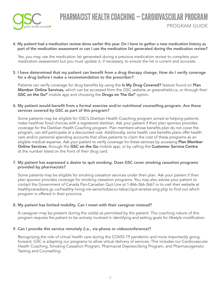

4. My patient had a medication review done earlier this year. Do I have to gather a new medication history as part of the medication assessment or can I use the medication list generated during the medication review?

Yes, you may use the medication list generated during a previous medication review to complete your medication assessment but you must update it, if necessary, to ensure the list is current and accurate.

5. I have determined that my patient can beneft from a drug therapy change. How do I verify coverage for a drug before I make a recommendation to the prescriber?

Patients can verify coverage for drug benefits by using the Is My Drug Covered? feature found on Plan Member Online Services, which can be accessed from the GSC website at [greenshield.ca,](https://greenshield.ca) or through their GSC on the Go<sup>®</sup> mobile app and choosing the Drugs on The Go<sup>®</sup> option.

#### 6. My patient would benefit from a formal exercise and/or nutritional counselling program. Are these services covered by GSC as part of this program?

Some patients may be eligible for GSC's Dietitian Health Coaching program aimed at helping patients make healthier food choices with a registered dietitian. Ask your patient if their plan sponsor provides coverage for the Dietitian Health Coaching program. Plan members whose benefts plan do not cover the program, can still participate at a discounted cost. Additionally, some health care benefts plans offer health care and/or personal spending accounts that allow patients to claim the cost of these programs as an eligible medical expense. Ask your patient to verify coverage for these services by accessing **Plan Member** Online Services, through the GSC on the Go mobile app, or by calling the Customer Service Centre at the number listed on the front of their drug card.

#### 7. My patient has expressed a desire to quit smoking. Does GSC cover smoking cessation programs provided by pharmacists?

Some patients may be eligible for smoking cessation services under their plan. Ask your patient if their plan sponsor provides coverage for smoking cessation programs. You may also advise your patient to contact the Government of Canada Pan-Canadian Quit Line at 1-866-366-3667 or to visit their website at healthycanadians.gc.ca/healthy-living-vie-saine/tobacco-tabac/quit-arretez-eng.php to fnd out which program is offered in their province.

#### 8. My patient has limited mobility. Can I meet with their caregiver instead?

A caregiver may be present during the visit(s) as permitted by the patient. The coaching nature of this program requires the patient to be actively involved in identifying and setting goals for lifestyle modifcation.

#### 9. Can I provide this service remotely (i.e., via phone or videoconference)?

Recognizing the role of virtual health care during the COVID-19 pandemic and more importantly going forward, GSC is adapting our programs to allow virtual delivery of services. This includes our Cardiovascular Health Coaching, Smoking Cessation Program, Pharmacist Deprescribing Program, and Pharmacogenetic Testing and Counselling.